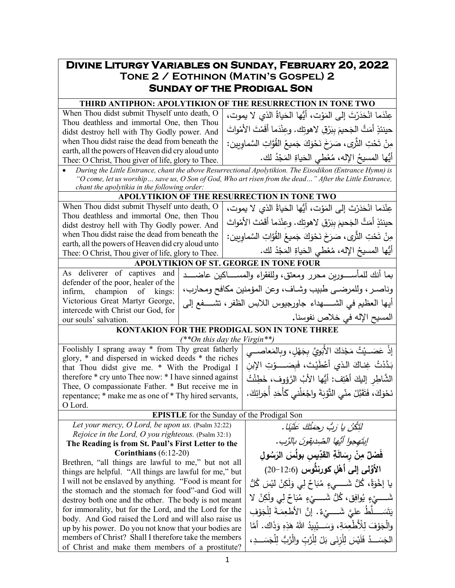| <b>DIVINE LITURGY VARIABLES ON SUNDAY, FEBRUARY 20, 2022</b>                                                          |                                |                                                                          |                                                                         |  |  |  |  |  |
|-----------------------------------------------------------------------------------------------------------------------|--------------------------------|--------------------------------------------------------------------------|-------------------------------------------------------------------------|--|--|--|--|--|
| TONE 2 / EOTHINON (MATIN'S GOSPEL) 2                                                                                  |                                |                                                                          |                                                                         |  |  |  |  |  |
| <b>SUNDAY OF THE PRODIGAL SON</b>                                                                                     |                                |                                                                          |                                                                         |  |  |  |  |  |
| THIRD ANTIPHON: APOLYTIKION OF THE RESURRECTION IN TONE TWO                                                           |                                |                                                                          |                                                                         |  |  |  |  |  |
| When Thou didst submit Thyself unto death, O                                                                          |                                |                                                                          | عِنْدَما انْحَدَرْتَ إِلَى المَوْتِ، أَيُّها الْحَياةُ الذي لا يموت،    |  |  |  |  |  |
| Thou deathless and immortal One, then Thou                                                                            |                                |                                                                          | حينئذٍ أَمَتَّ الْجَحيمَ بِبَرْقِ لاهوتك. وعِنْدَما أَقَمْتَ الأَمْواتَ |  |  |  |  |  |
| didst destroy hell with Thy Godly power. And<br>when Thou didst raise the dead from beneath the                       |                                |                                                                          |                                                                         |  |  |  |  |  |
| earth, all the powers of Heaven did cry aloud unto                                                                    |                                |                                                                          | مِنْ تَحْتِ الثَّرِى، صَرَخَ نَحْوَكَ جَميعُ القُوَّاتِ السَّماويين:    |  |  |  |  |  |
| Thee: O Christ, Thou giver of life, glory to Thee.                                                                    |                                |                                                                          | أيُّها المسيحُ الإله، مُعْطي الحَياةِ المَجْدُ لك.                      |  |  |  |  |  |
| During the Little Entrance, chant the above Resurrectional Apolytikion. The Eisodikon (Entrance Hymn) is<br>$\bullet$ |                                |                                                                          |                                                                         |  |  |  |  |  |
| "O come, let us worship save us, O Son of God, Who art risen from the dead" After the Little Entrance,                |                                |                                                                          |                                                                         |  |  |  |  |  |
| chant the apolytikia in the following order:                                                                          |                                |                                                                          |                                                                         |  |  |  |  |  |
|                                                                                                                       |                                |                                                                          | APOLYTIKION OF THE RESURRECTION IN TONE TWO                             |  |  |  |  |  |
| When Thou didst submit Thyself unto death, O<br>Thou deathless and immortal One, then Thou                            |                                |                                                                          | عِنْدَماً انْحَدَرْتَ إلى المَوْت، أَيُّها الحَياةُ الذي لا يموت،       |  |  |  |  |  |
| didst destroy hell with Thy Godly power. And                                                                          |                                |                                                                          | حينئذٍ أَمَتَّ الجَحيمَ ببَرْقِ لاهوتك. وعِنْدَما أَقَمْتَ الأَمْواتَ   |  |  |  |  |  |
| when Thou didst raise the dead from beneath the<br>earth, all the powers of Heaven did cry aloud unto                 |                                |                                                                          | مِنْ تَحْتِ الثَّرِى، صَرَخَ نَحْوَكَ جَميعُ القُوَّاتِ السَّماويين:    |  |  |  |  |  |
| Thee: O Christ, Thou giver of life, glory to Thee.                                                                    |                                |                                                                          | أَيُّها المسيحُ اﻹله، مُعْطي الحَياةِ المَجْدُ لك.                      |  |  |  |  |  |
| APOLYTIKION OF ST. GEORGE IN TONE FOUR                                                                                |                                |                                                                          |                                                                         |  |  |  |  |  |
| As deliverer of captives and                                                                                          |                                |                                                                          | بما أنك للمأســــورين محرر ومعتق، وللفقراء والمســــاكين عاضـــــد      |  |  |  |  |  |
| defender of the poor, healer of the                                                                                   |                                |                                                                          | وناصـر ، وللمرضـى طبيب وشـاف، وعن المؤمنين مكافح ومحارب،                |  |  |  |  |  |
| infirm,<br>champion of kings:<br>Victorious Great Martyr George,                                                      |                                |                                                                          |                                                                         |  |  |  |  |  |
| intercede with Christ our God, for                                                                                    |                                |                                                                          | أيها العظيم في الشــــــهداء جاورجيوس اللابس الظفر ، تشـــــفع إلـي     |  |  |  |  |  |
| our souls' salvation.                                                                                                 |                                |                                                                          | المسيح الإله في خلاص نفوسنا.                                            |  |  |  |  |  |
| KONTAKION FOR THE PRODIGAL SON IN TONE THREE                                                                          |                                |                                                                          |                                                                         |  |  |  |  |  |
|                                                                                                                       | $(**On this day the Virgin**)$ |                                                                          |                                                                         |  |  |  |  |  |
| Foolishly I sprang away * from Thy great fatherly                                                                     |                                |                                                                          | إِذْ عَصَـــيْتُ مَجْدَكَ الأَبَوِيَّ بِجَهْلٍ، وبِالمَعاصـــي          |  |  |  |  |  |
| glory, * and dispersed in wicked deeds * the riches<br>that Thou didst give me. * With the Prodigal I                 |                                |                                                                          | بَدَّدْتُ غِنـاكَ الـذي أَعْطَيْتَ، فَبِصَــــوْتِ الإِبن               |  |  |  |  |  |
| therefore * cry unto Thee now: * I have sinned against                                                                |                                |                                                                          | الشَّاطِرِ إليكَ أَهْتِف: أَيُّها الأَبُ الرَّؤوف، خَطِئْتُ             |  |  |  |  |  |
| Thee, O compassionate Father. * But receive me in                                                                     |                                |                                                                          |                                                                         |  |  |  |  |  |
| repentance; * make me as one of * Thy hired servants,                                                                 |                                |                                                                          | نَحْوَكَ، فَتَقَبَّلْ منّى النَّوْبَةَ واجْعَلْنى كَأَحَدِ أَجَرائِكَ.  |  |  |  |  |  |
| O Lord.                                                                                                               |                                |                                                                          |                                                                         |  |  |  |  |  |
|                                                                                                                       |                                |                                                                          | <b>EPISTLE</b> for the Sunday of the Prodigal Son                       |  |  |  |  |  |
| Let your mercy, O Lord, be upon us. (Psalm 32:22)                                                                     |                                |                                                                          | لَتَكُنْ يا رَبُّ رِحِمَٰتُكَ عَلَيْنَا.                                |  |  |  |  |  |
| <i>Rejoice in the Lord, O you righteous.</i> (Psalm $32:1$ )<br>The Reading is from St. Paul's First Letter to the    |                                |                                                                          | إِبِتَهِجوا أَيُها الصّديقونَ بِالرَّبِ.                                |  |  |  |  |  |
| Corinthians (6:12-20)                                                                                                 |                                |                                                                          | فَصْلٌ مِنْ رِسَالَةِ القدِّيس بولُسَ الرَسُولِ                         |  |  |  |  |  |
| Brethren, "all things are lawful to me," but not all                                                                  |                                |                                                                          | الأَوْلِي إِلَى أَهْل كورنِثُوس (12:6−20)                               |  |  |  |  |  |
| things are helpful. "All things are lawful for me," but                                                               |                                |                                                                          |                                                                         |  |  |  |  |  |
| I will not be enslaved by anything. "Food is meant for<br>the stomach and the stomach for food"-and God will          |                                |                                                                          | يا إِخْوَةُ، كُلُّ شَـــــيءٍ مُبَاحٌ لِي وَلَٰكِنْ لَيْسَ كُلُّ        |  |  |  |  |  |
| destroy both one and the other. The body is not meant                                                                 |                                |                                                                          | شَـــــيْءٍ يُوافِق، كُلُّ شَـــــيْءٍ مُبَاحٌ لِي ولَكِنْ لا           |  |  |  |  |  |
| for immorality, but for the Lord, and the Lord for the                                                                |                                |                                                                          | يَتَسَــــلّطَ عليَّ شَـــــيْءٌ. إنَّ الأطعِمَــةَ لِلْجَوْفِ          |  |  |  |  |  |
| body. And God raised the Lord and will also raise us<br>up by his power. Do you not know that your bodies are         |                                |                                                                          | والْجَوْفَ لِلْأَطْعِمَةِ، وَسَـــيُبِيدُ اللهُ هَذِهِ وَذَاك. أَمَّا   |  |  |  |  |  |
| members of Christ? Shall I therefore take the members                                                                 |                                | الْجَسَــدُ فَلَيْسَ لِلْزِنَى بَلْ لِلْرَّبِّ وِالْرَّبُّ لِلْجَسَــدِ، |                                                                         |  |  |  |  |  |
| of Christ and make them members of a prostitute?                                                                      |                                |                                                                          |                                                                         |  |  |  |  |  |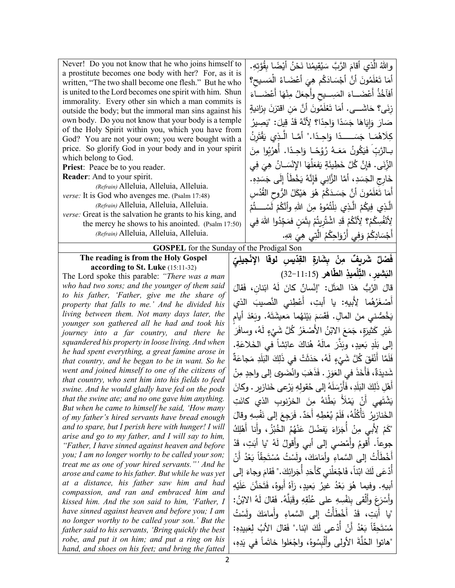| Never! Do you not know that he who joins himself to                                                          |                                                                | وِاللَّهُ الَّذي أَقَامَ الرَّبَّ سَيُقِيمُنا نَحْنُ أَيْضًا بِقُوَّتِهِ.        |  |  |
|--------------------------------------------------------------------------------------------------------------|----------------------------------------------------------------|----------------------------------------------------------------------------------|--|--|
| a prostitute becomes one body with her? For, as it is                                                        |                                                                |                                                                                  |  |  |
| written, "The two shall become one flesh." But he who                                                        | أَمَا تَعْلَمُونَ أَنَّ أَجْسَادَكُم هِيَ أَعْضَـاءُ الْمَسيح؟ |                                                                                  |  |  |
| is united to the Lord becomes one spirit with him. Shun                                                      |                                                                | أفآخُذُ أَعْضَــاءَ المَسِــيح وأَجعَلُ مِنْهَا أَعْضَــاَءَ                     |  |  |
| immorality. Every other sin which a man commits is<br>outside the body; but the immoral man sins against his |                                                                | زِنَى؟ حَاشَـــى. أَمَا تَعْلَمُونَ أَنَّ مَنِ اقْتَرَنَ بِزِانِيةٍ              |  |  |
| own body. Do you not know that your body is a temple                                                         |                                                                | صَارَ وَإِيَاهَا جَسَدًا وَاحِدًا؟ لِأَنَّهُ قَدْ قِيلَ: "يَصِيرُ                |  |  |
| of the Holy Spirit within you, which you have from                                                           |                                                                |                                                                                  |  |  |
| God? You are not your own; you were bought with a                                                            |                                                                | كِلَاهُمَـا جَسَــــدًا وَاحِـدًا." أَمَّـا الَّـذِي يَقْتَرِنُ                  |  |  |
| price. So glorify God in your body and in your spirit                                                        |                                                                | بِـالرَّبِّ فَيَكُونُ مَعَــهُ رُوُحًــا وَاحِـدًا. أَهْرُبُوا مِنَ              |  |  |
| which belong to God.                                                                                         |                                                                | الزَّنَى. فإنَّ كُلَّ خَطِيئَةٍ يَفعَلُهَا الإِنْسَـانُ هِيَ فِي                 |  |  |
| Priest: Peace be to you reader.                                                                              |                                                                |                                                                                  |  |  |
| Reader: And to your spirit.                                                                                  |                                                                | خَارِجِ الجَسَدِ، أَمَّا الزَّانِي فَإِنَّهُ يَخْطَأُ إِلَى جَسَدِهِ.            |  |  |
| (Refrain) Alleluia, Alleluia, Alleluia.                                                                      |                                                                | أَمَا تَعْلَمُونَ أَنَّ جَسَدَكُمْ هُوَ هَيْكَلُ الرُّوحِ القُّدُسِ              |  |  |
| <i>verse:</i> It is God who avenges me. (Psalm 17:48)                                                        |                                                                |                                                                                  |  |  |
| (Refrain) Alleluia, Alleluia, Alleluia.                                                                      |                                                                | الَّذِي فِيكُمْ الَّذِي نِلْتُمُوهُ مِنَ اللَّهِ وأنَّكُمْ لَسْـــتُمْ           |  |  |
| verse: Great is the salvation he grants to his king, and                                                     |                                                                | لِأَنْفُسِكُمْ؟ لِأَنَّكُمْ قَدِ اشْتُرِيتُمْ بِثَمَنِ فَمَجِّدُوا اللَّهَ فِي   |  |  |
| the mercy he shows to his anointed. (Psalm 17:50)                                                            |                                                                |                                                                                  |  |  |
| (Refrain) Alleluia, Alleluia, Alleluia.                                                                      |                                                                | أَجْسَادِكُمْ وَفِي أَرْوَاحِكُمُ الَّتِي هِيَ لِلهِ.                            |  |  |
| <b>GOSPEL</b> for the Sunday of the Prodigal Son                                                             |                                                                |                                                                                  |  |  |
| The reading is from the Holy Gospel                                                                          |                                                                | فَصْلٌ شَريفٌ مِنْ بِشَارةِ القِدّيسِ لوقا الإنْجيلِيّ                           |  |  |
| according to St. Luke (15:11-32)                                                                             |                                                                | النَشير ، التِّلْميذِ الطَّاهِرِ (11:15–32)                                      |  |  |
| The Lord spoke this parable: "There was a man<br>who had two sons; and the younger of them said              |                                                                |                                                                                  |  |  |
| to his father, 'Father, give me the share of                                                                 |                                                                | قالَ الرَّبُّ هَذا المَثَّل: "إِنْسانٌ كانَ لَهُ ابْنان، فَقالَ                  |  |  |
| property that falls to me.' And he divided his                                                               | أَصْغَرُهُما لِأَبِيهِ: يا أَبِتِ، أَعْطِني النَّصيبَ الذي     |                                                                                  |  |  |
| living between them. Not many days later, the                                                                |                                                                |                                                                                  |  |  |
| younger son gathered all he had and took his                                                                 |                                                                | يَخُصُّني منَ المالِ. فَقَسَمَ بَيْنَهُما مَعيشَتَهُ. وبَعْدَ أيام               |  |  |
| journey into a far country, and there he                                                                     |                                                                | غَيْرِ كَثِيرَةٍ، جَمَعَ الابْنُ الأَصْغَرُ كُلَّ شَيْءٍ لَهُ، وسافَرَ           |  |  |
| squandered his property in loose living. And when                                                            |                                                                | إلى بَلَدٍ بَعيدٍ، وبَذِّرَ مالَهُ هُناكَ عائِشاً في الخَلاعَةِ.                 |  |  |
| he had spent everything, a great famine arose in                                                             |                                                                |                                                                                  |  |  |
| that country, and he began to be in want. So he                                                              |                                                                | فَلَمَّا أَنْفَقَ كُلَّ شَيْءٍ لَهُ، حَدَثَتْ في ذَلِكَ النِّلَدِ مَجاعَةٌ       |  |  |
| went and joined himself to one of the citizens of                                                            |                                                                | شَديدَةٌ، فَأَخَذَ في العَوَزِ . فَذَهَبَ وانْضَوِي إلى واحِدٍ مِنْ              |  |  |
| that country, who sent him into his fields to feed                                                           |                                                                |                                                                                  |  |  |
| swine. And he would gladly have fed on the pods                                                              |                                                                | أَهْلِ ذَلِكَ البَلَدِ، فَأَرْسَلَهُ إِلَى حُقولِهِ يَرْعِي خَنازِيرٍ . وكانَ    |  |  |
| that the swine ate; and no one gave him anything.                                                            |                                                                | يَشْتَهي أَنْ يَمْلَأَ بَطْنَهُ مِنَ الْخرْنوبِ الذي كانَتِ                      |  |  |
| But when he came to himself he said, 'How many'<br>of my father's hired servants have bread enough           |                                                                | الخَنازِيرُ ۚ تَأْكُلُهُ، فَلَمْ يُعْطِهِ أَحَدٌ . فَرَجِعَ إِلَى نَفْسِهِ وقالَ |  |  |
| and to spare, but I perish here with hunger! I will                                                          |                                                                |                                                                                  |  |  |
| arise and go to my father, and I will say to him,                                                            |                                                                | "كَمْ لِأَبِي مِنْ أَجَرَاءَ يَفْضُلُ عَنْهُمُ الْخُبْزُ، وأَنا أَهْلِكُ         |  |  |
| "Father, I have sinned against heaven and before                                                             |                                                                | جوعاً. أَقومُ وأَمْضـى إلـى أبـى وأَقولُ لَهُ "يا أَبَتِ، قَدْ                   |  |  |
| you; I am no longer worthy to be called your son;                                                            |                                                                | أَخْطَأْتُ إلى السَّماءِ وأِمَامَكَ، ولَسْتُ مُسْتَحِقّاً بَعْدُ أَنْ            |  |  |
| treat me as one of your hired servants."' And he                                                             |                                                                | أُدْعَى لَكَ ابْناً، فَاجْعَلْني كَأَحَدِ أُجَرائِكَ." فَقامَ وجاءَ إلى          |  |  |
| arose and came to his father. But while he was yet                                                           |                                                                |                                                                                  |  |  |
| at a distance, his father saw him and had                                                                    |                                                                | أبيهِ. وفيما هُوَ بَعْدُ غيرُ بَعيدِ، رَآهُ أَبوهُ، فَتَحَنَّنَ عَلَيْهِ         |  |  |
| compassion, and ran and embraced him and<br>kissed him. And the son said to him, 'Father, I                  |                                                                | وأَسْرَعَ وأَلْقى بِنَفْسِهِ على عُنُقِهِ وقَبَلْهُ. فَقالَ لَهُ الابْنُ:        |  |  |
| have sinned against heaven and before you; I am                                                              |                                                                | "يا أَبَتِ، قَدْ أَخْطَأْتُ إلى السَّماءِ وأَمامَكَ ولَسْتُ                      |  |  |
| no longer worthy to be called your son.' But the                                                             |                                                                |                                                                                  |  |  |
| father said to his servants, 'Bring quickly the best                                                         |                                                                | مُسْتَحِقّاً بَعْدُ أَنْ أُدْعى لَكَ ابْنا." فَقالَ الأَبُ لِعَبِيدِهِ:          |  |  |
| robe, and put it on him; and put a ring on his                                                               |                                                                | "هاتوا الخُلَّةَ الأولى وأَلْبسُوهُ، واجْعَلوا خاتَماً في يَدِهِ،                |  |  |
| hand, and shoes on his feet; and bring the fatted                                                            |                                                                |                                                                                  |  |  |